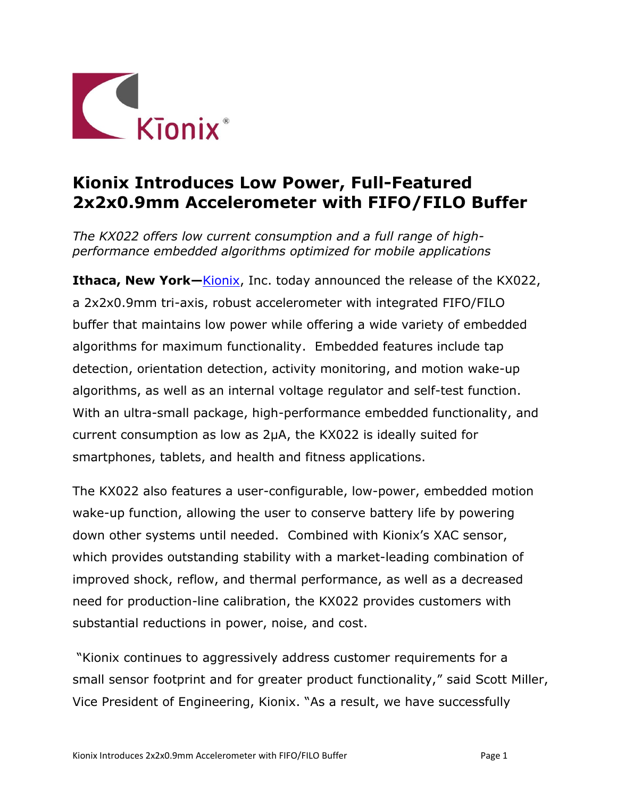

## **Kionix Introduces Low Power, Full-Featured 2x2x0.9mm Accelerometer with FIFO/FILO Buffer**

*The KX022 offers low current consumption and a full range of highperformance embedded algorithms optimized for mobile applications*

**Ithaca, New York**—**Kionix**, Inc. today announced the release of the KX022, a 2x2x0.9mm tri-axis, robust accelerometer with integrated FIFO/FILO buffer that maintains low power while offering a wide variety of embedded algorithms for maximum functionality. Embedded features include tap detection, orientation detection, activity monitoring, and motion wake-up algorithms, as well as an internal voltage regulator and self-test function. With an ultra-small package, high-performance embedded functionality, and current consumption as low as 2µA, the KX022 is ideally suited for smartphones, tablets, and health and fitness applications.

The KX022 also features a user-configurable, low-power, embedded motion wake-up function, allowing the user to conserve battery life by powering down other systems until needed. Combined with Kionix's XAC sensor, which provides outstanding stability with a market-leading combination of improved shock, reflow, and thermal performance, as well as a decreased need for production-line calibration, the KX022 provides customers with substantial reductions in power, noise, and cost.

"Kionix continues to aggressively address customer requirements for a small sensor footprint and for greater product functionality," said Scott Miller, Vice President of Engineering, Kionix. "As a result, we have successfully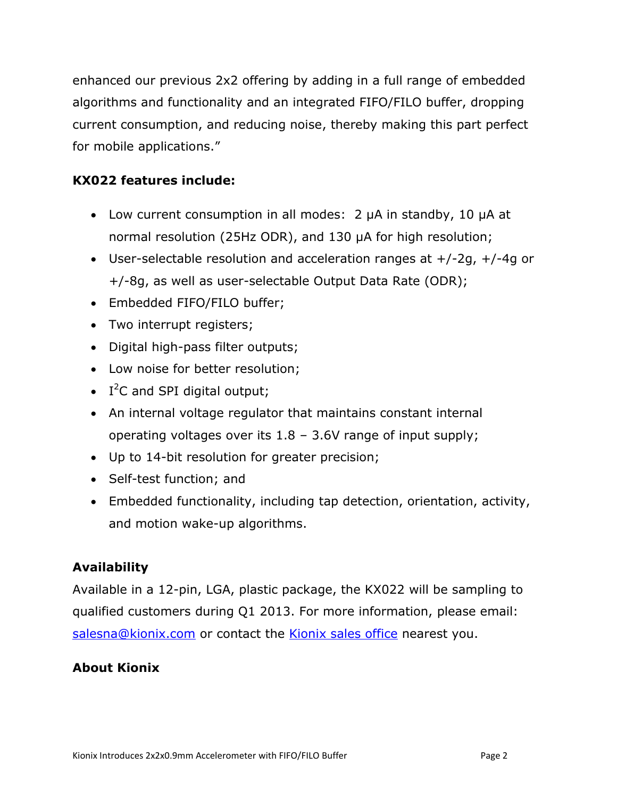enhanced our previous 2x2 offering by adding in a full range of embedded algorithms and functionality and an integrated FIFO/FILO buffer, dropping current consumption, and reducing noise, thereby making this part perfect for mobile applications."

## **KX022 features include:**

- Low current consumption in all modes: 2 µA in standby, 10 µA at normal resolution (25Hz ODR), and 130 µA for high resolution;
- User-selectable resolution and acceleration ranges at  $+/-2g$ ,  $+/-4g$  or +/-8g, as well as user-selectable Output Data Rate (ODR);
- Embedded FIFO/FILO buffer;
- Two interrupt registers;
- Digital high-pass filter outputs;
- Low noise for better resolution;
- $\bullet$  I<sup>2</sup>C and SPI digital output;
- An internal voltage regulator that maintains constant internal operating voltages over its 1.8 – 3.6V range of input supply;
- Up to 14-bit resolution for greater precision;
- Self-test function; and
- Embedded functionality, including tap detection, orientation, activity, and motion wake-up algorithms.

## **Availability**

Available in a 12-pin, LGA, plastic package, the KX022 will be sampling to qualified customers during Q1 2013. For more information, please email: [salesna@kionix.com](mailto:salesna@kionix.com) or contact the [Kionix sales office](http://www.kionix.com/about-kionix/sales-offices.html) nearest you.

## **About Kionix**